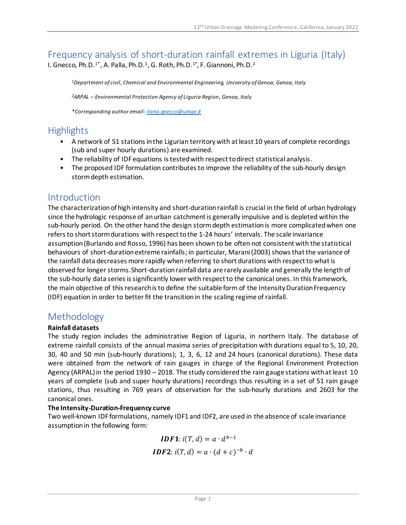## Frequency analysis of short-duration rainfall extremes in Liguria (Italy) I. Gnecco, Ph.D.<sup>1\*</sup>, A. Palla, Ph.D.<sup>1</sup>, G. Roth, Ph.D.<sup>1\*</sup>, F. Giannoni, Ph.D.<sup>2</sup>

*<sup>1</sup>Department of civil, Chemical and Environmental Engineering, University of Genoa, Genoa, Italy*

*<sup>2</sup>ARPAL – Environmental Protection Agency of Liguria Region, Genoa, Italy*

*\*Corresponding author email[: ilaria.gnecco@unige.it](mailto:ilaria.gnecco@unige.it)*

## **Highlights**

- A network of 51 stations in the Ligurian territory with at least 10 years of complete recordings (sub and super hourly durations) are examined.
- The reliability of IDF equations is tested with respect to direct statistical analysis.
- The proposed IDF formulation contributes to improve the reliability of the sub-hourly design stormdepth estimation.

### **Introduction**

The characterization of high intensity and short-duration rainfall is crucial in the field of urban hydrology since the hydrologic response of an urban catchment is generally impulsive and is depleted within the sub-hourly period. On the other hand the design storm depth estimation is more complicated when one refers to short storm durations with respect to the 1-24 hours' intervals. The scale invariance assumption(Burlando and Rosso, 1996) has been shown to be often not consistent with the statistical behaviours of short-duration extreme rainfalls; in particular, Marani(2003) shows that the variance of the rainfall data decreases more rapidly when referring to short durations with respect to what is observed for longer storms.Short-duration rainfall data are rarely available and generally the length of the sub-hourly data series is significantly lower with respect to the canonical ones. In this framework, the main objective of this research is to define the suitable form of the Intensity Duration Frequency (IDF) equation in order to better fit the transition in the scaling regime of rainfall.

## Methodology

#### **Rainfall datasets**

The study region includes the administrative Region of Liguria, in northern Italy. The database of extreme rainfall consists of the annual maxima series of precipitation with durations equal to 5, 10, 20, 30, 40 and 50 min (sub-hourly durations); 1, 3, 6, 12 and 24 hours (canonical durations). These data were obtained from the network of rain gauges in charge of the Regional Environment Protection Agency (ARPAL) in the period 1930 – 2018. The study considered the rain gauge stations with at least 10 years of complete (sub and super hourly durations) recordings thus resulting in a set of 51 rain gauge stations, thus resulting in 769 years of observation for the sub-hourly durations and 2603 for the canonical ones.

#### **The Intensity-Duration-Frequency curve**

Two well-known IDF formulations, namely IDF1 and IDF2, are used in the absence of scale invariance assumption in the following form:

> *IDF1*:  $i(T, d) = a \cdot d^{b-1}$ **IDF2**:  $i(T, d) = a \cdot (d + c)^{-b} \cdot d$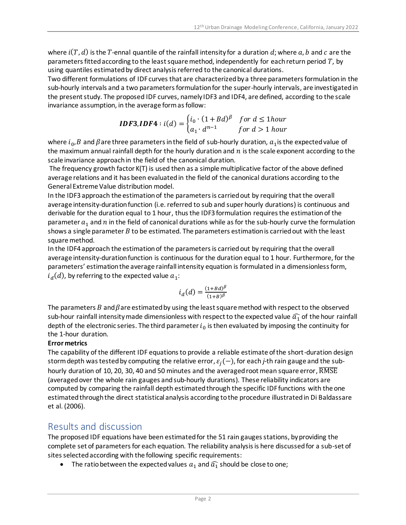where  $i(T, d)$  is the T-ennal quantile of the rainfall intensity for a duration d; where  $a, b$  and c are the parameters fitted according to the least square method, independently for each return period  $T$ , by using quantiles estimated by direct analysis referred to the canonical durations.

Two different formulations of IDF curves that are characterized by a three parameters formulation in the sub-hourly intervals and a two parameters formulation for the super-hourly intervals, are investigated in the present study. The proposed IDF curves, namely IDF3 and IDF4, are defined, according to the scale invariance assumption, in the average form as follow:

**IDF3,IDF4**: 
$$
i(d) = \begin{cases} i_0 \cdot (1 + Bd)^{\beta} & \text{for } d \le 1 \text{hour} \\ a_1 \cdot d^{n-1} & \text{for } d > 1 \text{ hour} \end{cases}
$$

where  $i_0$ ,  $B$  and  $\beta$  are three parameters in the field of sub-hourly duration,  $a_1$ is the expected value of the maximum annual rainfall depth for the hourly duration and  $n$  is the scale exponent according to the scale invariance approach in the field of the canonical duration.

The frequency growth factor K(T) is used then as a simple multiplicative factor of the above defined average relations and it has been evaluated in the field of the canonical durations according to the General Extreme Value distribution model.

In the IDF3 approach the estimation of the parameters is carried out by requiring that the overall average intensity-duration function (i.e. referred to sub and super hourly durations) is continuous and derivable for the duration equal to 1 hour, thus the IDF3 formulation requires the estimation of the parameter  $a_1$  and  $n$  in the field of canonical durations while as for the sub-hourly curve the formulation shows a single parameter  $B$  to be estimated. The parameters estimation is carried out with the least square method.

In the IDF4 approach the estimation of the parameters is carried out by requiring that the overall average intensity-duration function is continuous for the duration equal to 1 hour. Furthermore, for the parameters' estimation the average rainfall intensity equation is formulated in a dimensionless form,  $i_d(d)$ , by referring to the expected value  $a_1$ :

$$
i_d(d)=\tfrac{(1+Bd)^\beta}{(1+B)^\beta}
$$

The parameters B and  $\beta$  are estimated by using the least square method with respect to the observed sub-hour rainfall intensity made dimensionless with respect to the expected value  $\widehat{a}_1$  of the hour rainfall depth of the electronic series. The third parameter  $i_0$  is then evaluated by imposing the continuity for the 1-hour duration.

#### **Error metrics**

The capability of the different IDF equations to provide a reliable estimate of the short-duration design storm depth was tested by computing the relative error,  $\varepsilon_j(-)$ , for each *j*-th rain gauge and the subhourly duration of 10, 20, 30, 40 and 50 minutes and the averaged root mean square error,  $\overline{\mathrm{RMSE}}$ (averaged over the whole rain gauges and sub-hourly durations). These reliability indicators are computed by comparing the rainfall depth estimated through the specific IDF functions with the one estimated through the direct statistical analysis according to the procedure illustrated in Di Baldassare et al. (2006).

## Results and discussion

The proposed IDF equations have been estimated for the 51 rain gauges stations, by providing the complete set of parameters for each equation. The reliability analysis is here discussed for a sub-set of sites selected according with the following specific requirements:

• The ratio between the expected values  $a_1$  and  $\widehat{a_1}$  should be close to one;